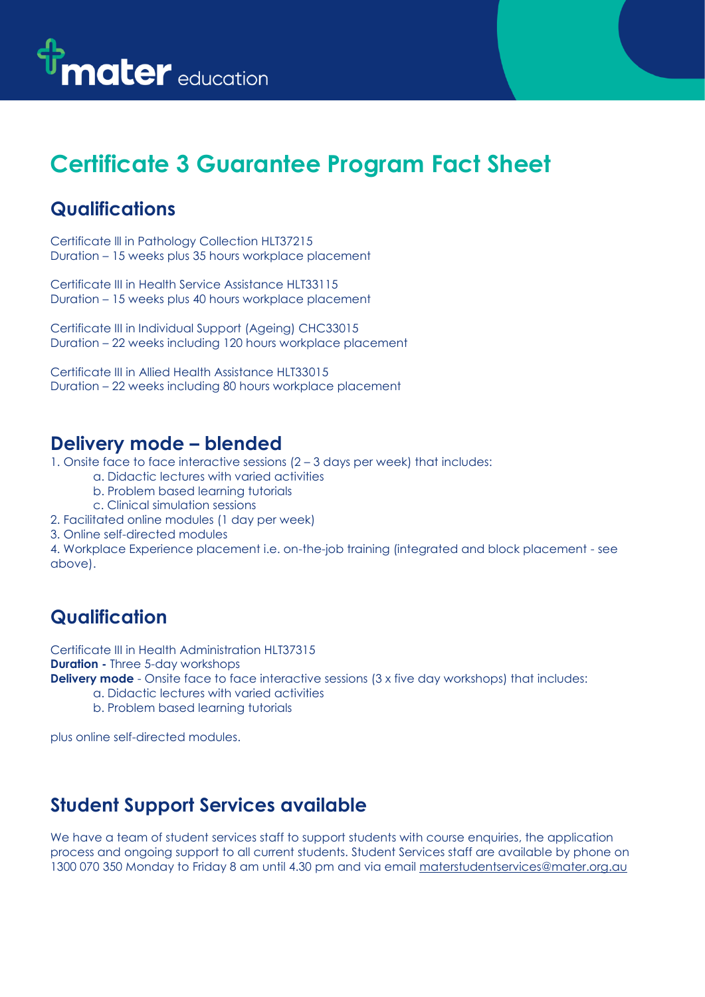

# **Certificate 3 Guarantee Program Fact Sheet**

#### **Qualifications**

Certificate lll in Pathology Collection HLT37215 Duration – 15 weeks plus 35 hours workplace placement

Certificate III in Health Service Assistance HLT33115 Duration – 15 weeks plus 40 hours workplace placement

Certificate III in Individual Support (Ageing) CHC33015 Duration – 22 weeks including 120 hours workplace placement

Certificate III in Allied Health Assistance HLT33015 Duration – 22 weeks including 80 hours workplace placement

#### **Delivery mode – blended**

1. Onsite face to face interactive sessions (2 – 3 days per week) that includes:

- a. Didactic lectures with varied activities
- b. Problem based learning tutorials
- c. Clinical simulation sessions
- 2. Facilitated online modules (1 day per week)
- 3. Online self-directed modules

4. Workplace Experience placement i.e. on-the-job training (integrated and block placement - see above).

# **Qualification**

Certificate III in Health Administration HLT37315 **Duration -** Three 5-day workshops

**Delivery mode** - Onsite face to face interactive sessions (3 x five day workshops) that includes:

- a. Didactic lectures with varied activities
- b. Problem based learning tutorials

plus online self-directed modules.

# **Student Support Services available**

We have a team of student services staff to support students with course enquiries, the application process and ongoing support to all current students. Student Services staff are available by phone on 1300 070 350 Monday to Friday 8 am until 4.30 pm and via email [materstudentservices@mater.org.au](mailto:materstudentservices@mater.org.au)